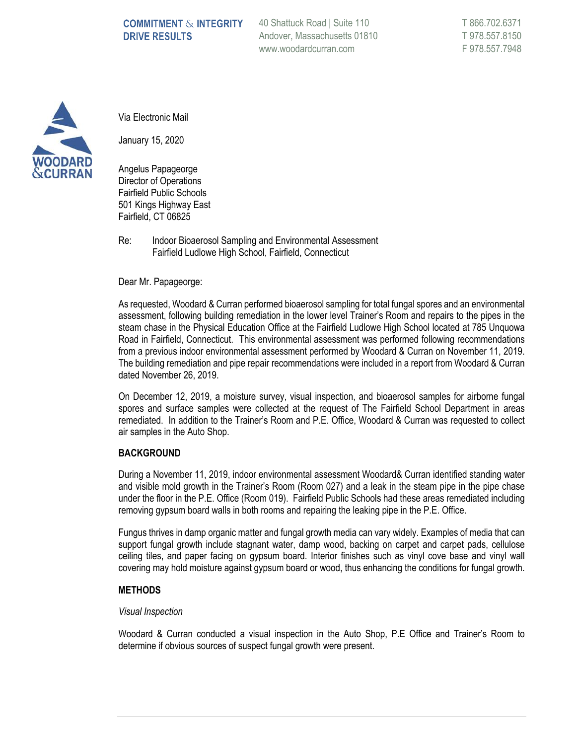# **COMMITMENT & INTEGRITY DRIVE RESULTS**

40 Shattuck Road | Suite 110 Andover, Massachusetts 01810 www.woodardcurran.com



Via Electronic Mail

January 15, 2020

Angelus Papageorge Director of Operations Fairfield Public Schools 501 Kings Highway East Fairfield, CT 06825

Re: Indoor Bioaerosol Sampling and Environmental Assessment Fairfield Ludlowe High School, Fairfield, Connecticut

Dear Mr. Papageorge:

As requested, Woodard & Curran performed bioaerosol sampling for total fungal spores and an environmental assessment, following building remediation in the lower level Trainer's Room and repairs to the pipes in the steam chase in the Physical Education Office at the Fairfield Ludlowe High School located at 785 Unquowa Road in Fairfield, Connecticut. This environmental assessment was performed following recommendations from a previous indoor environmental assessment performed by Woodard & Curran on November 11, 2019. The building remediation and pipe repair recommendations were included in a report from Woodard & Curran dated November 26, 2019.

On December 12, 2019, a moisture survey, visual inspection, and bioaerosol samples for airborne fungal spores and surface samples were collected at the request of The Fairfield School Department in areas remediated. In addition to the Trainer's Room and P.E. Office, Woodard & Curran was requested to collect air samples in the Auto Shop.

### **BACKGROUND**

During a November 11, 2019, indoor environmental assessment Woodard& Curran identified standing water and visible mold growth in the Trainer's Room (Room 027) and a leak in the steam pipe in the pipe chase under the floor in the P.E. Office (Room 019). Fairfield Public Schools had these areas remediated including removing gypsum board walls in both rooms and repairing the leaking pipe in the P.E. Office.

Fungus thrives in damp organic matter and fungal growth media can vary widely. Examples of media that can support fungal growth include stagnant water, damp wood, backing on carpet and carpet pads, cellulose ceiling tiles, and paper facing on gypsum board. Interior finishes such as vinyl cove base and vinyl wall covering may hold moisture against gypsum board or wood, thus enhancing the conditions for fungal growth.

### **METHODS**

### *Visual Inspection*

Woodard & Curran conducted a visual inspection in the Auto Shop, P.E Office and Trainer's Room to determine if obvious sources of suspect fungal growth were present.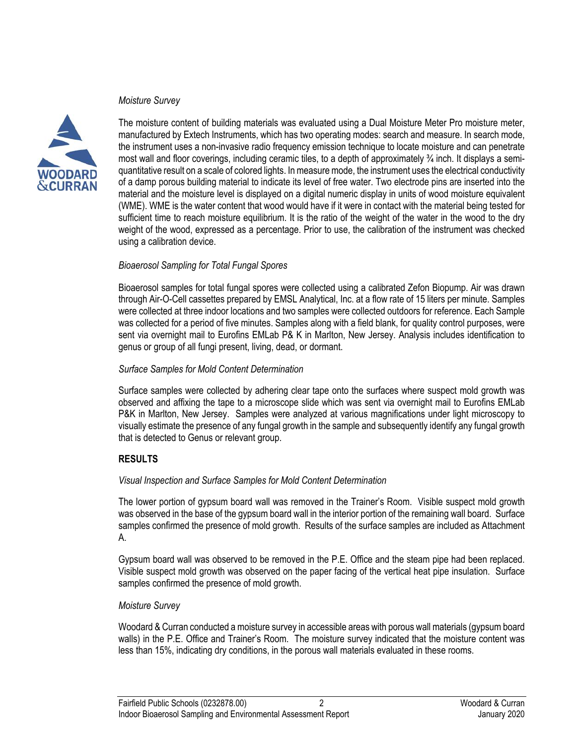### *Moisture Survey*



The moisture content of building materials was evaluated using a Dual Moisture Meter Pro moisture meter, manufactured by Extech Instruments, which has two operating modes: search and measure. In search mode, the instrument uses a non-invasive radio frequency emission technique to locate moisture and can penetrate most wall and floor coverings, including ceramic tiles, to a depth of approximately ¾ inch. It displays a semiquantitative result on a scale of colored lights. In measure mode, the instrument uses the electrical conductivity of a damp porous building material to indicate its level of free water. Two electrode pins are inserted into the material and the moisture level is displayed on a digital numeric display in units of wood moisture equivalent (WME). WME is the water content that wood would have if it were in contact with the material being tested for sufficient time to reach moisture equilibrium. It is the ratio of the weight of the water in the wood to the dry weight of the wood, expressed as a percentage. Prior to use, the calibration of the instrument was checked using a calibration device.

### *Bioaerosol Sampling for Total Fungal Spores*

Bioaerosol samples for total fungal spores were collected using a calibrated Zefon Biopump. Air was drawn through Air-O-Cell cassettes prepared by EMSL Analytical, Inc. at a flow rate of 15 liters per minute. Samples were collected at three indoor locations and two samples were collected outdoors for reference. Each Sample was collected for a period of five minutes. Samples along with a field blank, for quality control purposes, were sent via overnight mail to Eurofins EMLab P& K in Marlton, New Jersey. Analysis includes identification to genus or group of all fungi present, living, dead, or dormant.

### *Surface Samples for Mold Content Determination*

Surface samples were collected by adhering clear tape onto the surfaces where suspect mold growth was observed and affixing the tape to a microscope slide which was sent via overnight mail to Eurofins EMLab P&K in Marlton, New Jersey. Samples were analyzed at various magnifications under light microscopy to visually estimate the presence of any fungal growth in the sample and subsequently identify any fungal growth that is detected to Genus or relevant group.

### **RESULTS**

### *Visual Inspection and Surface Samples for Mold Content Determination*

The lower portion of gypsum board wall was removed in the Trainer's Room. Visible suspect mold growth was observed in the base of the gypsum board wall in the interior portion of the remaining wall board. Surface samples confirmed the presence of mold growth. Results of the surface samples are included as Attachment A.

Gypsum board wall was observed to be removed in the P.E. Office and the steam pipe had been replaced. Visible suspect mold growth was observed on the paper facing of the vertical heat pipe insulation. Surface samples confirmed the presence of mold growth.

### *Moisture Survey*

Woodard & Curran conducted a moisture survey in accessible areas with porous wall materials (gypsum board walls) in the P.E. Office and Trainer's Room. The moisture survey indicated that the moisture content was less than 15%, indicating dry conditions, in the porous wall materials evaluated in these rooms.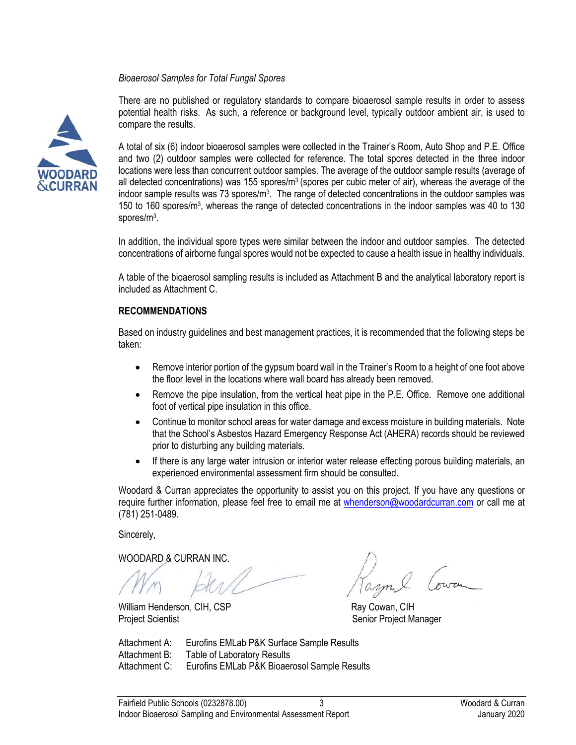### *Bioaerosol Samples for Total Fungal Spores*



There are no published or regulatory standards to compare bioaerosol sample results in order to assess potential health risks. As such, a reference or background level, typically outdoor ambient air, is used to compare the results.

A total of six (6) indoor bioaerosol samples were collected in the Trainer's Room, Auto Shop and P.E. Office and two (2) outdoor samples were collected for reference. The total spores detected in the three indoor locations were less than concurrent outdoor samples. The average of the outdoor sample results (average of all detected concentrations) was 155 spores/ $m<sup>3</sup>$  (spores per cubic meter of air), whereas the average of the indoor sample results was 73 spores/m<sup>3</sup>. The range of detected concentrations in the outdoor samples was 150 to 160 spores/m<sup>3</sup>, whereas the range of detected concentrations in the indoor samples was 40 to 130 spores/m<sup>3</sup>.

In addition, the individual spore types were similar between the indoor and outdoor samples. The detected concentrations of airborne fungal spores would not be expected to cause a health issue in healthy individuals.

A table of the bioaerosol sampling results is included as Attachment B and the analytical laboratory report is included as Attachment C.

### **RECOMMENDATIONS**

Based on industry guidelines and best management practices, it is recommended that the following steps be taken:

- Remove interior portion of the gypsum board wall in the Trainer's Room to a height of one foot above the floor level in the locations where wall board has already been removed.
- Remove the pipe insulation, from the vertical heat pipe in the P.E. Office. Remove one additional foot of vertical pipe insulation in this office.
- Continue to monitor school areas for water damage and excess moisture in building materials. Note that the School's Asbestos Hazard Emergency Response Act (AHERA) records should be reviewed prior to disturbing any building materials.
- If there is any large water intrusion or interior water release effecting porous building materials, an experienced environmental assessment firm should be consulted.

Woodard & Curran appreciates the opportunity to assist you on this project. If you have any questions or require further information, please feel free to email me at [whenderson@woodardcurran.com](mailto:whenderson@woodardcurran.com) or call me at (781) 251-0489.

Sincerely,

WOODARD & CURRAN INC.

William Henderson, CIH, CSP **Ray Cowan, CIH** Project Scientist **Senior Project Manager** Senior Project Manager

Attachment A: Eurofins EMLab P&K Surface Sample Results Attachment B: Table of Laboratory Results Attachment C: Eurofins EMLab P&K Bioaerosol Sample Results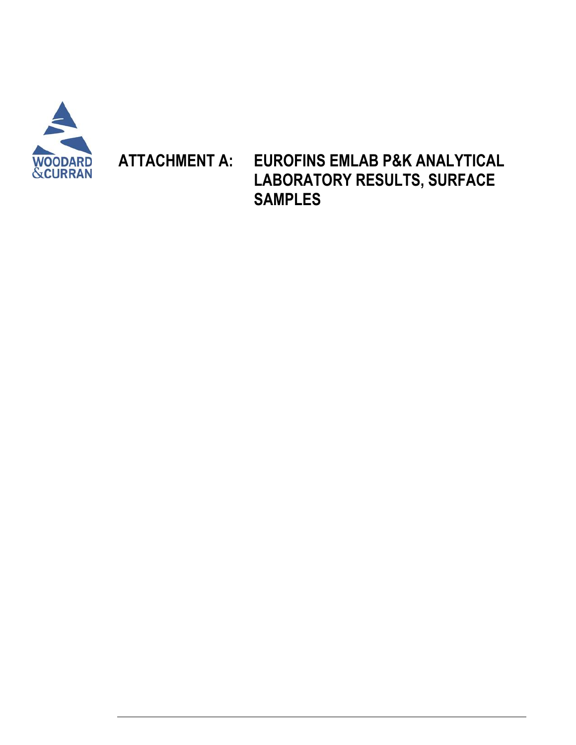

**ATTACHMENT A: EUROFINS EMLAB P&K ANALYTICAL LABORATORY RESULTS, SURFACE SAMPLES**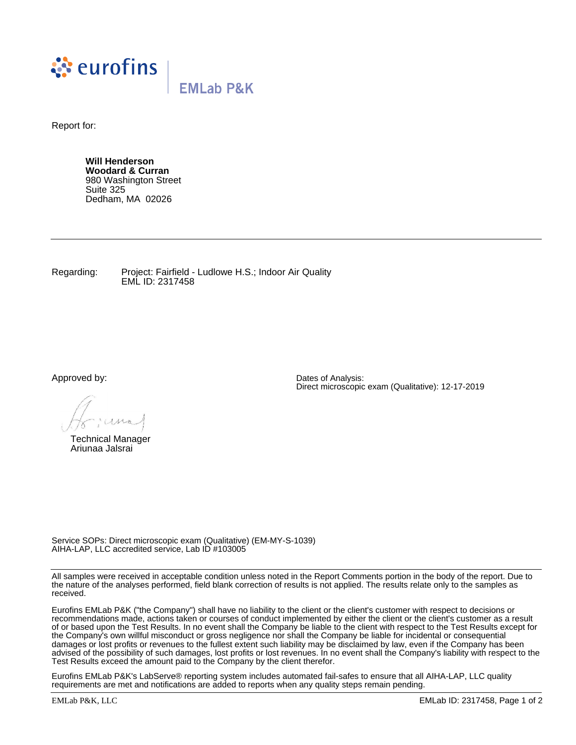

Report for:

**Will Henderson Woodard & Curran** 980 Washington Street Suite 325 Dedham, MA 02026

Regarding: Project: Fairfield - Ludlowe H.S.; Indoor Air Quality EML ID: 2317458

Approved by:

Technical Manager Ariunaa Jalsrai

Dates of Analysis: Direct microscopic exam (Qualitative): 12-17-2019

Service SOPs: Direct microscopic exam (Qualitative) (EM-MY-S-1039) AIHA-LAP, LLC accredited service, Lab ID #103005

All samples were received in acceptable condition unless noted in the Report Comments portion in the body of the report. Due to the nature of the analyses performed, field blank correction of results is not applied. The results relate only to the samples as received.

Eurofins EMLab P&K ("the Company") shall have no liability to the client or the client's customer with respect to decisions or recommendations made, actions taken or courses of conduct implemented by either the client or the client's customer as a result of or based upon the Test Results. In no event shall the Company be liable to the client with respect to the Test Results except for the Company's own willful misconduct or gross negligence nor shall the Company be liable for incidental or consequential damages or lost profits or revenues to the fullest extent such liability may be disclaimed by law, even if the Company has been advised of the possibility of such damages, lost profits or lost revenues. In no event shall the Company's liability with respect to the Test Results exceed the amount paid to the Company by the client therefor.

Eurofins EMLab P&K's LabServe® reporting system includes automated fail-safes to ensure that all AIHA-LAP, LLC quality requirements are met and notifications are added to reports when any quality steps remain pending.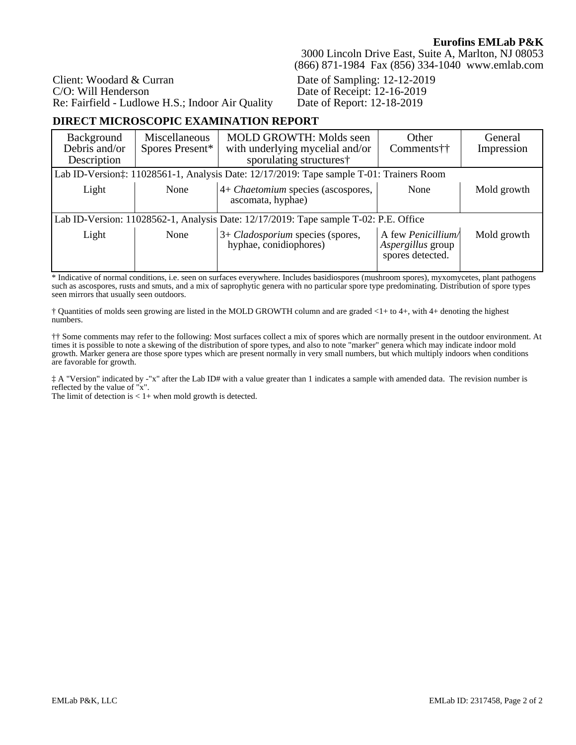Client: Woodard & Curran C/O: Will Henderson Re: Fairfield - Ludlowe H.S.; Indoor Air Quality

3000 Lincoln Drive East, Suite A, Marlton, NJ 08053 (866) 871-1984 Fax (856) 334-1040 www.emlab.com

Date of Sampling: 12-12-2019 Date of Receipt: 12-16-2019 Date of Report: 12-18-2019

## **DIRECT MICROSCOPIC EXAMINATION REPORT**

| Background<br>Debris and/or<br>Description | Miscellaneous<br>Spores Present*                                                     | <b>MOLD GROWTH: Molds seen</b><br>with underlying mycelial and/or<br>sporulating structures† | Other<br>Comments††                                               | General<br>Impression |  |  |  |  |
|--------------------------------------------|--------------------------------------------------------------------------------------|----------------------------------------------------------------------------------------------|-------------------------------------------------------------------|-----------------------|--|--|--|--|
|                                            |                                                                                      | Lab ID-Version: 11028561-1, Analysis Date: 12/17/2019: Tape sample T-01: Trainers Room       |                                                                   |                       |  |  |  |  |
| Light                                      | None                                                                                 | 4+ Chaetomium species (ascospores,<br>ascomata, hyphae)                                      | None                                                              | Mold growth           |  |  |  |  |
|                                            | Lab ID-Version: 11028562-1, Analysis Date: 12/17/2019: Tape sample T-02: P.E. Office |                                                                                              |                                                                   |                       |  |  |  |  |
| Light                                      | None                                                                                 | 3+ Cladosporium species (spores,<br>hyphae, conidiophores)                                   | A few <i>Penicillium</i><br>Aspergillus group<br>spores detected. | Mold growth           |  |  |  |  |

\* Indicative of normal conditions, i.e. seen on surfaces everywhere. Includes basidiospores (mushroom spores), myxomycetes, plant pathogens such as ascospores, rusts and smuts, and a mix of saprophytic genera with no particular spore type predominating. Distribution of spore types seen mirrors that usually seen outdoors.

† Quantities of molds seen growing are listed in the MOLD GROWTH column and are graded <1+ to 4+, with 4+ denoting the highest numbers.

†† Some comments may refer to the following: Most surfaces collect a mix of spores which are normally present in the outdoor environment. At times it is possible to note a skewing of the distribution of spore types, and also to note "marker" genera which may indicate indoor mold growth. Marker genera are those spore types which are present normally in very small numbers, but which multiply indoors when conditions are favorable for growth.

‡ A "Version" indicated by -"x" after the Lab ID# with a value greater than 1 indicates a sample with amended data. The revision number is reflected by the value of "x".

The limit of detection is  $< 1+$  when mold growth is detected.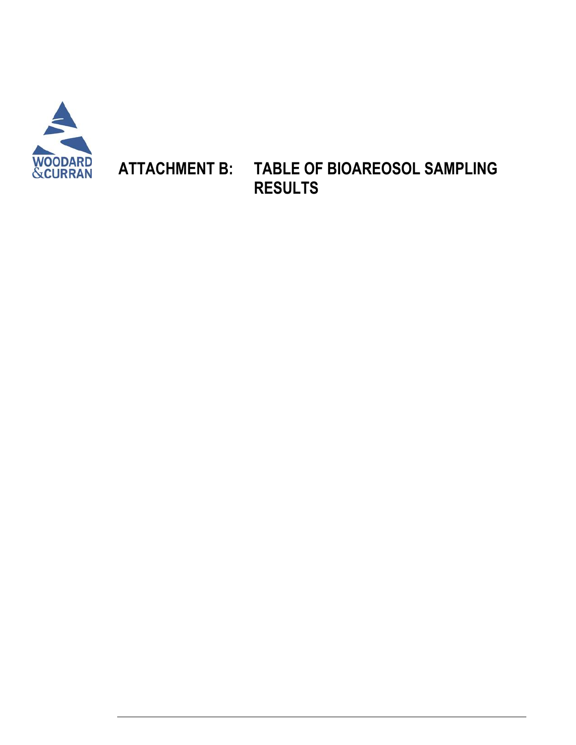

# **ATTACHMENT B: TABLE OF BIOAREOSOL SAMPLING RESULTS**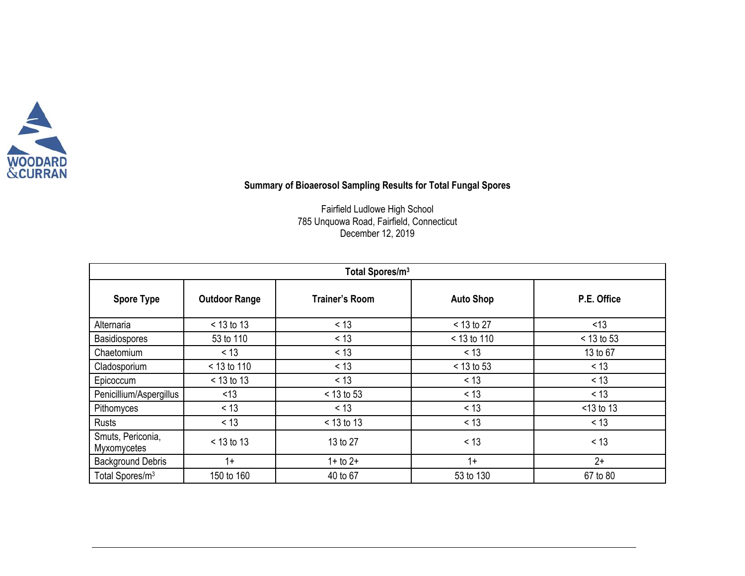

# **Summary of Bioaerosol Sampling Results for Total Fungal Spores**

Fairfield Ludlowe High School 785 Unquowa Road, Fairfield, Connecticut December 12, 2019

| Total Spores/m <sup>3</sup>      |                      |                       |                  |              |  |  |  |  |
|----------------------------------|----------------------|-----------------------|------------------|--------------|--|--|--|--|
| <b>Spore Type</b>                | <b>Outdoor Range</b> | <b>Trainer's Room</b> | <b>Auto Shop</b> | P.E. Office  |  |  |  |  |
| Alternaria                       | $< 13$ to 13         | < 13                  | $<$ 13 to 27     | < 13         |  |  |  |  |
| <b>Basidiospores</b>             | 53 to 110            | < 13                  | $< 13$ to 110    | $< 13$ to 53 |  |  |  |  |
| Chaetomium                       | < 13                 | < 13                  | < 13             | 13 to 67     |  |  |  |  |
| Cladosporium                     | $< 13$ to 110        | < 13                  | $< 13$ to 53     | $<$ 13       |  |  |  |  |
| Epicoccum                        | $< 13$ to 13         | < 13                  | < 13             | $<$ 13       |  |  |  |  |
| Penicillium/Aspergillus          | < 13                 | $< 13$ to 53          | < 13             | $<$ 13       |  |  |  |  |
| Pithomyces                       | < 13                 | < 13                  | < 13             | $<$ 13 to 13 |  |  |  |  |
| Rusts                            | < 13                 | $< 13$ to 13          | < 13             | $<$ 13       |  |  |  |  |
| Smuts, Periconia,<br>Myxomycetes | $< 13$ to 13         | 13 to 27              | < 13             | < 13         |  |  |  |  |
| <b>Background Debris</b>         | $1+$                 | $1 +$ to $2 +$        | $1+$             | $2+$         |  |  |  |  |
| Total Spores/m <sup>3</sup>      | 150 to 160           | 40 to 67              | 53 to 130        | 67 to 80     |  |  |  |  |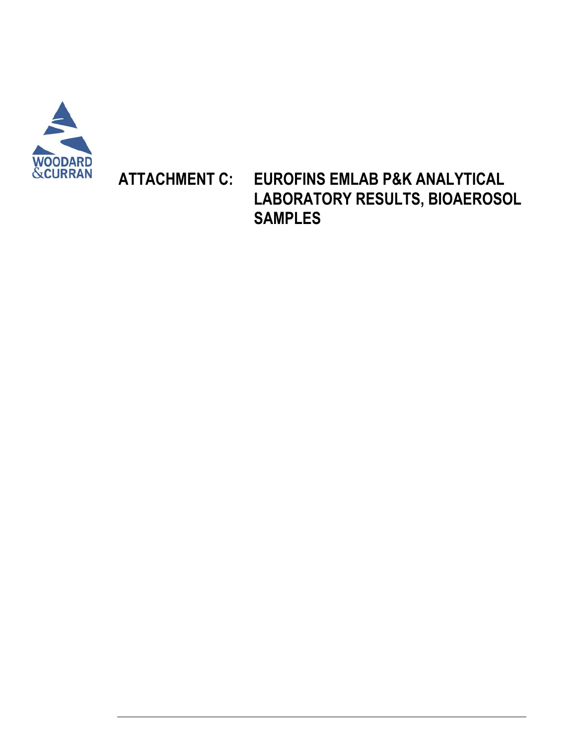

# **ATTACHMENT C: EUROFINS EMLAB P&K ANALYTICAL LABORATORY RESULTS, BIOAEROSOL SAMPLES**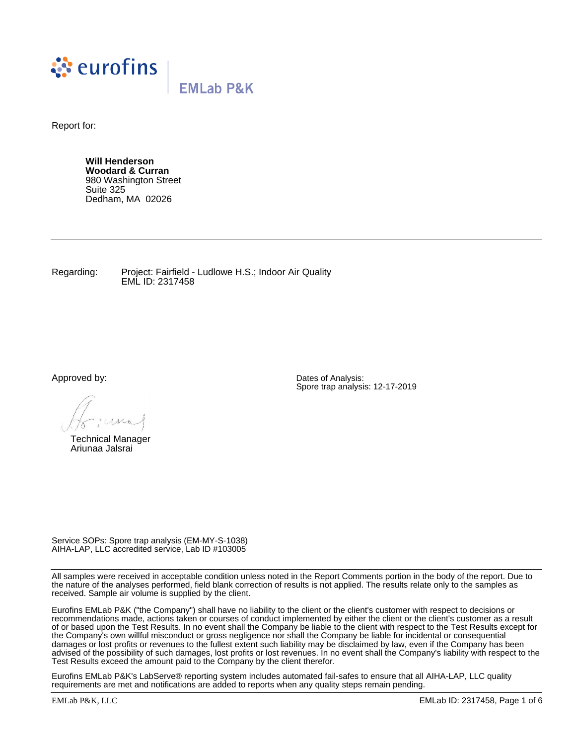

Report for:

**Will Henderson Woodard & Curran** 980 Washington Street Suite 325 Dedham, MA 02026

Regarding: Project: Fairfield - Ludlowe H.S.; Indoor Air Quality EML ID: 2317458

Approved by:

Technical Manager Ariunaa Jalsrai

Dates of Analysis: Spore trap analysis: 12-17-2019

Service SOPs: Spore trap analysis (EM-MY-S-1038) AIHA-LAP, LLC accredited service, Lab ID #103005

All samples were received in acceptable condition unless noted in the Report Comments portion in the body of the report. Due to the nature of the analyses performed, field blank correction of results is not applied. The results relate only to the samples as received. Sample air volume is supplied by the client.

Eurofins EMLab P&K ("the Company") shall have no liability to the client or the client's customer with respect to decisions or recommendations made, actions taken or courses of conduct implemented by either the client or the client's customer as a result of or based upon the Test Results. In no event shall the Company be liable to the client with respect to the Test Results except for the Company's own willful misconduct or gross negligence nor shall the Company be liable for incidental or consequential damages or lost profits or revenues to the fullest extent such liability may be disclaimed by law, even if the Company has been advised of the possibility of such damages, lost profits or lost revenues. In no event shall the Company's liability with respect to the Test Results exceed the amount paid to the Company by the client therefor.

Eurofins EMLab P&K's LabServe® reporting system includes automated fail-safes to ensure that all AIHA-LAP, LLC quality requirements are met and notifications are added to reports when any quality steps remain pending.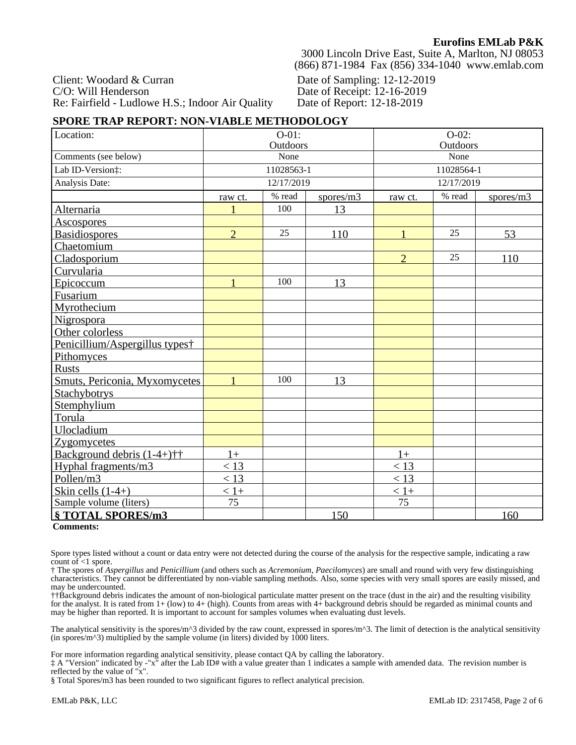Client: Woodard & Curran C/O: Will Henderson Re: Fairfield - Ludlowe H.S.; Indoor Air Quality

3000 Lincoln Drive East, Suite A, Marlton, NJ 08053 (866) 871-1984 Fax (856) 334-1040 www.emlab.com

Date of Sampling: 12-12-2019 Date of Receipt: 12-16-2019 Date of Report: 12-18-2019

### **SPORE TRAP REPORT: NON-VIABLE METHODOLOGY**

| Location:                      | $O-01$ :<br>Outdoors |            | $O-02$ :<br>Outdoors |                                |    |     |
|--------------------------------|----------------------|------------|----------------------|--------------------------------|----|-----|
| Comments (see below)           | None                 |            |                      | None                           |    |     |
| Lab ID-Version:                | 11028563-1           |            |                      | 11028564-1                     |    |     |
| Analysis Date:                 |                      | 12/17/2019 |                      | 12/17/2019                     |    |     |
|                                | raw ct.              | % read     | spores/m3            | % read<br>spores/m3<br>raw ct. |    |     |
| Alternaria                     |                      | 100        | 13                   |                                |    |     |
| <b>Ascospores</b>              |                      |            |                      |                                |    |     |
| <b>Basidiospores</b>           | $\overline{2}$       | 25         | 110                  |                                | 25 | 53  |
| Chaetomium                     |                      |            |                      |                                |    |     |
| Cladosporium                   |                      |            |                      | $\overline{2}$                 | 25 | 110 |
| Curvularia                     |                      |            |                      |                                |    |     |
| Epicoccum                      |                      | 100        | 13                   |                                |    |     |
| Fusarium                       |                      |            |                      |                                |    |     |
| Myrothecium                    |                      |            |                      |                                |    |     |
| Nigrospora                     |                      |            |                      |                                |    |     |
| Other colorless                |                      |            |                      |                                |    |     |
| Penicillium/Aspergillus types† |                      |            |                      |                                |    |     |
| Pithomyces                     |                      |            |                      |                                |    |     |
| <b>Rusts</b>                   |                      |            |                      |                                |    |     |
| Smuts, Periconia, Myxomycetes  |                      | 100        | 13                   |                                |    |     |
| Stachybotrys                   |                      |            |                      |                                |    |     |
| Stemphylium                    |                      |            |                      |                                |    |     |
| Torula                         |                      |            |                      |                                |    |     |
| Ulocladium                     |                      |            |                      |                                |    |     |
| Zygomycetes                    |                      |            |                      |                                |    |     |
| Background debris $(1-4+)$ ††  | $1+$                 |            |                      | $1+$                           |    |     |
| Hyphal fragments/m3            | $\leq 13$            |            |                      | < 13                           |    |     |
| Pollen/m3                      | < 13                 |            |                      | < 13                           |    |     |
| Skin cells $(1-4+)$            | $< 1+$               |            |                      | $< 1+$                         |    |     |
| Sample volume (liters)         | 75                   |            |                      | 75                             |    |     |
| § TOTAL SPORES/m3              |                      |            | 150                  |                                |    | 160 |

#### **Comments:**

Spore types listed without a count or data entry were not detected during the course of the analysis for the respective sample, indicating a raw count of  $\leq 1$  spore.

† The spores of *Aspergillus* and *Penicillium* (and others such as *Acremonium, Paecilomyces*) are small and round with very few distinguishing characteristics. They cannot be differentiated by non-viable sampling methods. Also, some species with very small spores are easily missed, and may be undercounted.

††Background debris indicates the amount of non-biological particulate matter present on the trace (dust in the air) and the resulting visibility for the analyst. It is rated from 1+ (low) to 4+ (high). Counts from areas with 4+ background debris should be regarded as minimal counts and may be higher than reported. It is important to account for samples volumes when evaluating dust levels.

The analytical sensitivity is the spores/m^3 divided by the raw count, expressed in spores/m^3. The limit of detection is the analytical sensitivity (in spores/ $m^2$ ) multiplied by the sample volume (in liters) divided by 1000 liters.

For more information regarding analytical sensitivity, please contact QA by calling the laboratory.

‡ A "Version" indicated by -"x" after the Lab ID# with a value greater than 1 indicates a sample with amended data. The revision number is reflected by the value of "x".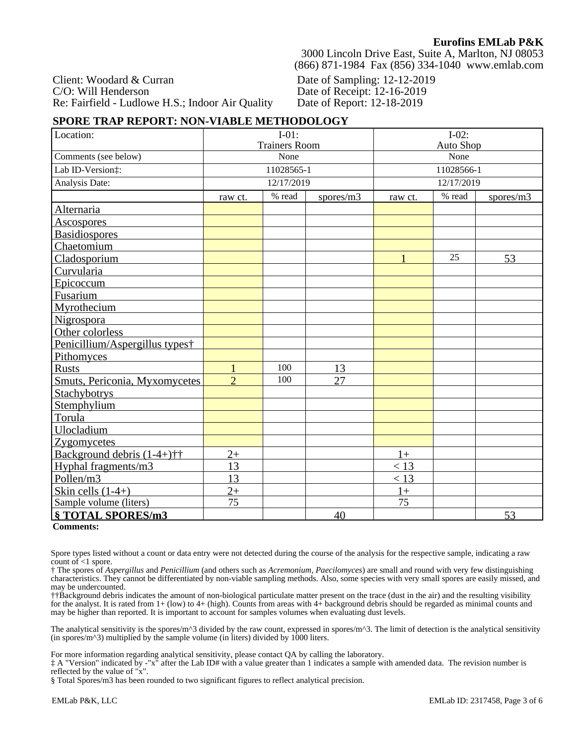Client: Woodard & Curran C/O: Will Henderson Re: Fairfield - Ludlowe H.S.; Indoor Air Quality

3000 Lincoln Drive East, Suite A, Marlton, NJ 08053 (866) 871-1984 Fax (856) 334-1040 www.emlab.com

Date of Sampling: 12-12-2019 Date of Receipt: 12-16-2019 Date of Report: 12-18-2019

## **SPORE TRAP REPORT: NON-VIABLE METHODOLOGY**

| Location:                      | $I-01$ :<br><b>Trainers Room</b> |            | $I-02$ :<br><b>Auto Shop</b> |            |        |           |
|--------------------------------|----------------------------------|------------|------------------------------|------------|--------|-----------|
| Comments (see below)           | None                             |            |                              | None       |        |           |
| Lab ID-Version:                | 11028565-1                       |            |                              | 11028566-1 |        |           |
|                                |                                  | 12/17/2019 |                              |            |        |           |
| Analysis Date:                 |                                  |            |                              | 12/17/2019 |        |           |
|                                | raw ct.                          | % read     | spores/m3                    | raw ct.    | % read | spores/m3 |
| Alternaria                     |                                  |            |                              |            |        |           |
| <b>Ascospores</b>              |                                  |            |                              |            |        |           |
| <b>Basidiospores</b>           |                                  |            |                              |            |        |           |
| Chaetomium                     |                                  |            |                              |            |        |           |
| Cladosporium                   |                                  |            |                              |            | 25     | 53        |
| Curvularia                     |                                  |            |                              |            |        |           |
| Epicoccum                      |                                  |            |                              |            |        |           |
| Fusarium                       |                                  |            |                              |            |        |           |
| Myrothecium                    |                                  |            |                              |            |        |           |
| Nigrospora                     |                                  |            |                              |            |        |           |
| Other colorless                |                                  |            |                              |            |        |           |
| Penicillium/Aspergillus types† |                                  |            |                              |            |        |           |
| Pithomyces                     |                                  |            |                              |            |        |           |
| <b>Rusts</b>                   |                                  | 100        | 13                           |            |        |           |
| Smuts, Periconia, Myxomycetes  | $\mathcal{D}_{\mathcal{L}}$      | 100        | 27                           |            |        |           |
| Stachybotrys                   |                                  |            |                              |            |        |           |
| Stemphylium                    |                                  |            |                              |            |        |           |
| Torula                         |                                  |            |                              |            |        |           |
| Ulocladium                     |                                  |            |                              |            |        |           |
| <b>Zygomycetes</b>             |                                  |            |                              |            |        |           |
| Background debris $(1-4+)$ ††  | $2+$                             |            |                              | $1+$       |        |           |
| Hyphal fragments/m3            | 13                               |            |                              | < 13       |        |           |
| Pollen/m3                      | 13                               |            |                              | $<$ 13     |        |           |
| Skin cells $(1-4+)$            | $2^{+}$                          |            |                              | $1+$       |        |           |
| Sample volume (liters)         | 75                               |            |                              | 75         |        |           |
| § TOTAL SPORES/m3              |                                  |            | 40                           |            | 53     |           |

### **Comments:**

Spore types listed without a count or data entry were not detected during the course of the analysis for the respective sample, indicating a raw count of  $\leq 1$  spore.

† The spores of *Aspergillus* and *Penicillium* (and others such as *Acremonium, Paecilomyces*) are small and round with very few distinguishing characteristics. They cannot be differentiated by non-viable sampling methods. Also, some species with very small spores are easily missed, and may be undercounted.

††Background debris indicates the amount of non-biological particulate matter present on the trace (dust in the air) and the resulting visibility for the analyst. It is rated from 1+ (low) to 4+ (high). Counts from areas with 4+ background debris should be regarded as minimal counts and may be higher than reported. It is important to account for samples volumes when evaluating dust levels.

The analytical sensitivity is the spores/m^3 divided by the raw count, expressed in spores/m^3. The limit of detection is the analytical sensitivity (in spores/ $m^2$ ) multiplied by the sample volume (in liters) divided by 1000 liters.

For more information regarding analytical sensitivity, please contact QA by calling the laboratory.

‡ A "Version" indicated by -"x" after the Lab ID# with a value greater than 1 indicates a sample with amended data. The revision number is reflected by the value of "x".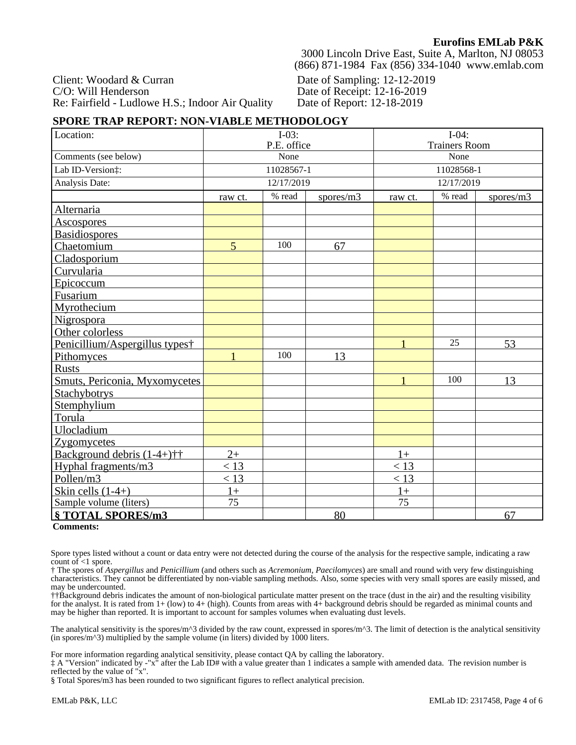Client: Woodard & Curran C/O: Will Henderson Re: Fairfield - Ludlowe H.S.; Indoor Air Quality

3000 Lincoln Drive East, Suite A, Marlton, NJ 08053 (866) 871-1984 Fax (856) 334-1040 www.emlab.com

Date of Sampling: 12-12-2019 Date of Receipt: 12-16-2019 Date of Report: 12-18-2019

### **SPORE TRAP REPORT: NON-VIABLE METHODOLOGY**

| Location:                      | $I-03:$<br>P.E. office |            | $I-04:$<br><b>Trainers Room</b> |            |     |           |
|--------------------------------|------------------------|------------|---------------------------------|------------|-----|-----------|
| Comments (see below)           | None                   |            |                                 | None       |     |           |
| Lab ID-Version:                | 11028567-1             |            |                                 | 11028568-1 |     |           |
| Analysis Date:                 |                        | 12/17/2019 |                                 | 12/17/2019 |     |           |
|                                |                        | % read     |                                 | % read     |     |           |
|                                | raw ct.                |            | spores/m3                       | raw ct.    |     | spores/m3 |
| Alternaria                     |                        |            |                                 |            |     |           |
| <b>Ascospores</b>              |                        |            |                                 |            |     |           |
| <b>Basidiospores</b>           |                        | 100        |                                 |            |     |           |
| Chaetomium                     | $\overline{5}$         |            | 67                              |            |     |           |
| Cladosporium                   |                        |            |                                 |            |     |           |
| Curvularia                     |                        |            |                                 |            |     |           |
| Epicoccum                      |                        |            |                                 |            |     |           |
| Fusarium                       |                        |            |                                 |            |     |           |
| Myrothecium                    |                        |            |                                 |            |     |           |
| Nigrospora                     |                        |            |                                 |            |     |           |
| Other colorless                |                        |            |                                 |            |     |           |
| Penicillium/Aspergillus types† |                        |            |                                 |            | 25  | 53        |
| Pithomyces                     | $\mathbf{1}$           | 100        | 13                              |            |     |           |
| <b>Rusts</b>                   |                        |            |                                 |            |     |           |
| Smuts, Periconia, Myxomycetes  |                        |            |                                 |            | 100 | 13        |
| Stachybotrys                   |                        |            |                                 |            |     |           |
| Stemphylium                    |                        |            |                                 |            |     |           |
| Torula                         |                        |            |                                 |            |     |           |
| Ulocladium                     |                        |            |                                 |            |     |           |
| <b>Zygomycetes</b>             |                        |            |                                 |            |     |           |
| Background debris $(1-4+)$ ††  | $2+$                   |            |                                 | $1+$       |     |           |
| Hyphal fragments/m3            | < 13                   |            |                                 | < 13       |     |           |
| Pollen/m3                      | < 13                   |            |                                 | < 13       |     |           |
| Skin cells $(1-4+)$            | $1+$                   |            |                                 | $1+$       |     |           |
| Sample volume (liters)         | 75                     |            |                                 | 75         |     |           |
| § TOTAL SPORES/m3              |                        |            | 80                              |            |     | 67        |

### **Comments:**

Spore types listed without a count or data entry were not detected during the course of the analysis for the respective sample, indicating a raw count of  $\leq 1$  spore.

† The spores of *Aspergillus* and *Penicillium* (and others such as *Acremonium, Paecilomyces*) are small and round with very few distinguishing characteristics. They cannot be differentiated by non-viable sampling methods. Also, some species with very small spores are easily missed, and may be undercounted.

††Background debris indicates the amount of non-biological particulate matter present on the trace (dust in the air) and the resulting visibility for the analyst. It is rated from 1+ (low) to 4+ (high). Counts from areas with 4+ background debris should be regarded as minimal counts and may be higher than reported. It is important to account for samples volumes when evaluating dust levels.

The analytical sensitivity is the spores/m^3 divided by the raw count, expressed in spores/m^3. The limit of detection is the analytical sensitivity (in spores/ $m^2$ ) multiplied by the sample volume (in liters) divided by 1000 liters.

For more information regarding analytical sensitivity, please contact QA by calling the laboratory.

‡ A "Version" indicated by -"x" after the Lab ID# with a value greater than 1 indicates a sample with amended data. The revision number is reflected by the value of "x".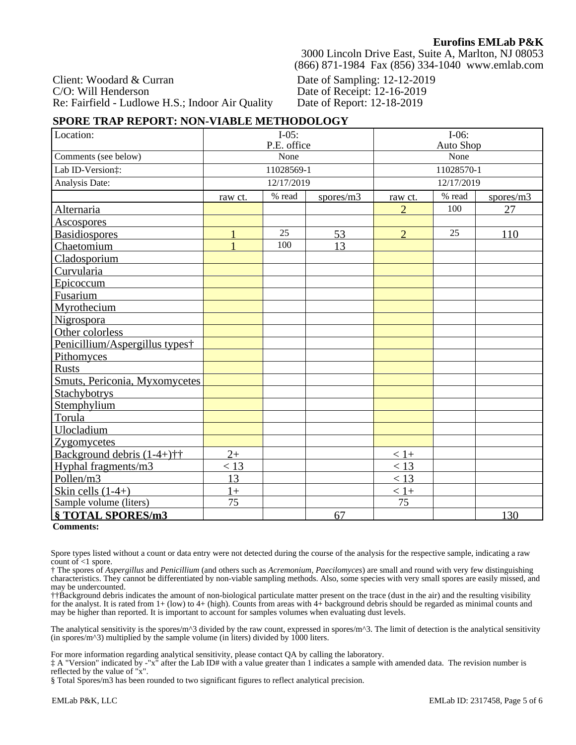Client: Woodard & Curran C/O: Will Henderson Re: Fairfield - Ludlowe H.S.; Indoor Air Quality

3000 Lincoln Drive East, Suite A, Marlton, NJ 08053 (866) 871-1984 Fax (856) 334-1040 www.emlab.com

Date of Sampling: 12-12-2019 Date of Receipt: 12-16-2019 Date of Report: 12-18-2019

### **SPORE TRAP REPORT: NON-VIABLE METHODOLOGY**

| Location:                                                  | $I-05:$<br>P.E. office |            | $I-06:$<br><b>Auto Shop</b> |                |        |           |
|------------------------------------------------------------|------------------------|------------|-----------------------------|----------------|--------|-----------|
| Comments (see below)                                       | None                   |            |                             | None           |        |           |
|                                                            |                        |            |                             |                |        |           |
| Lab ID-Version:                                            | 11028569-1             |            |                             | 11028570-1     |        |           |
| Analysis Date:                                             |                        | 12/17/2019 |                             | 12/17/2019     |        |           |
|                                                            | raw ct.                | % read     | spores/m3                   | raw ct.        | % read | spores/m3 |
| Alternaria                                                 |                        |            |                             | $\overline{2}$ | 100    | 27        |
| <b>Ascospores</b>                                          |                        |            |                             |                |        |           |
| <b>Basidiospores</b>                                       |                        | 25         | 53                          | $\overline{2}$ | 25     | 110       |
| Chaetomium                                                 |                        | 100        | 13                          |                |        |           |
| Cladosporium                                               |                        |            |                             |                |        |           |
| Curvularia                                                 |                        |            |                             |                |        |           |
| Epicoccum                                                  |                        |            |                             |                |        |           |
| Fusarium                                                   |                        |            |                             |                |        |           |
| Myrothecium                                                |                        |            |                             |                |        |           |
| <b>Nigrospora</b>                                          |                        |            |                             |                |        |           |
| Other colorless                                            |                        |            |                             |                |        |           |
| Penicillium/Aspergillus types†                             |                        |            |                             |                |        |           |
| Pithomyces                                                 |                        |            |                             |                |        |           |
| <b>Rusts</b>                                               |                        |            |                             |                |        |           |
| Smuts, Periconia, Myxomycetes                              |                        |            |                             |                |        |           |
| <b>Stachybotrys</b>                                        |                        |            |                             |                |        |           |
| Stemphylium                                                |                        |            |                             |                |        |           |
| Torula                                                     |                        |            |                             |                |        |           |
| Ulocladium                                                 |                        |            |                             |                |        |           |
| <b>Zygomycetes</b>                                         |                        |            |                             |                |        |           |
| Background debris $(1-4+)$ <sup><math>\dagger</math></sup> | $2+$                   |            |                             | $< 1+$         |        |           |
| Hyphal fragments/m3                                        | $\leq 13$              |            |                             | < 13           |        |           |
| Pollen/m3                                                  | 13                     |            |                             | < 13           |        |           |
| Skin cells $(1-4+)$                                        | $1+$                   |            |                             | $< 1+$         |        |           |
| Sample volume (liters)                                     | 75                     |            |                             | 75             |        |           |
| § TOTAL SPORES/m3                                          | 67                     |            |                             |                |        | 130       |

### **Comments:**

Spore types listed without a count or data entry were not detected during the course of the analysis for the respective sample, indicating a raw count of  $\leq 1$  spore.

† The spores of *Aspergillus* and *Penicillium* (and others such as *Acremonium, Paecilomyces*) are small and round with very few distinguishing characteristics. They cannot be differentiated by non-viable sampling methods. Also, some species with very small spores are easily missed, and may be undercounted.

††Background debris indicates the amount of non-biological particulate matter present on the trace (dust in the air) and the resulting visibility for the analyst. It is rated from 1+ (low) to 4+ (high). Counts from areas with 4+ background debris should be regarded as minimal counts and may be higher than reported. It is important to account for samples volumes when evaluating dust levels.

The analytical sensitivity is the spores/m^3 divided by the raw count, expressed in spores/m^3. The limit of detection is the analytical sensitivity (in spores/ $m^2$ ) multiplied by the sample volume (in liters) divided by 1000 liters.

For more information regarding analytical sensitivity, please contact QA by calling the laboratory.

‡ A "Version" indicated by -"x" after the Lab ID# with a value greater than 1 indicates a sample with amended data. The revision number is reflected by the value of "x".